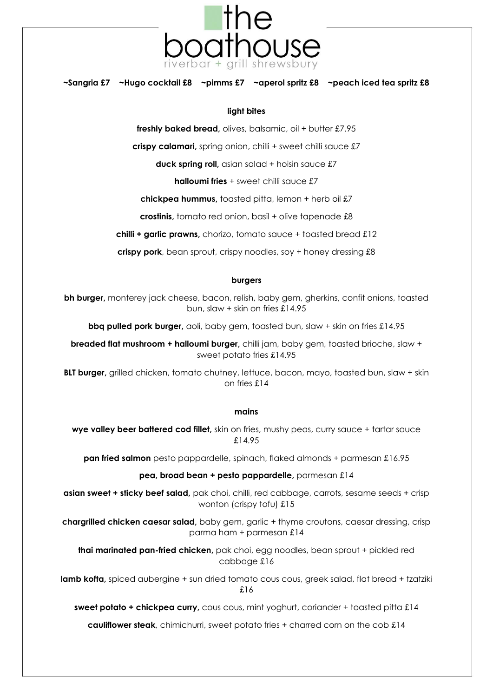

**~Sangria £7 ~Hugo cocktail £8 ~pimms £7 ~aperol spritz £8 ~peach iced tea spritz £8** 

#### **light bites**

**freshly baked bread,** olives, balsamic, oil + butter £7.95

**crispy calamari,** spring onion, chilli + sweet chilli sauce £7

**duck spring roll,** asian salad + hoisin sauce £7

**halloumi fries** + sweet chilli squce £7

**chickpea hummus,** toasted pitta, lemon + herb oil £7

**crostinis,** tomato red onion, basil + olive tapenade £8

**chilli + garlic prawns,** chorizo, tomato sauce + toasted bread £12

**crispy pork**, bean sprout, crispy noodles, soy + honey dressing £8

#### **burgers**

**bh burger,** monterey jack cheese, bacon, relish, baby gem, gherkins, confit onions, toasted bun, slaw + skin on fries £14.95

**bbq pulled pork burger,** aoli, baby gem, toasted bun, slaw + skin on fries £14.95

**breaded flat mushroom + halloumi burger,** chilli jam, baby gem, toasted brioche, slaw + sweet potato fries £14.95

**BLT burger,** grilled chicken, tomato chutney, lettuce, bacon, mayo, toasted bun, slaw + skin on fries £14

#### **mains**

**wye valley beer battered cod fillet,** skin on fries, mushy peas, curry sauce + tartar sauce £14.95

**pan fried salmon** pesto pappardelle, spinach, flaked almonds + parmesan £16.95

**pea, broad bean + pesto pappardelle,** parmesan £14

**asian sweet + sticky beef salad,** pak choi, chilli, red cabbage, carrots, sesame seeds + crisp wonton (crispy tofu) £15

**chargrilled chicken caesar salad,** baby gem, garlic + thyme croutons, caesar dressing, crisp parma ham + parmesan £14

**thai marinated pan-fried chicken,** pak choi, egg noodles, bean sprout + pickled red cabbage £16

lamb kofta, spiced aubergine + sun dried tomato cous cous, greek salad, flat bread + tzatziki £16

**sweet potato + chickpea curry**, cous cous, mint yoghurt, coriander + toasted pitta £14

**cauliflower steak**, chimichurri, sweet potato fries + charred corn on the cob £14